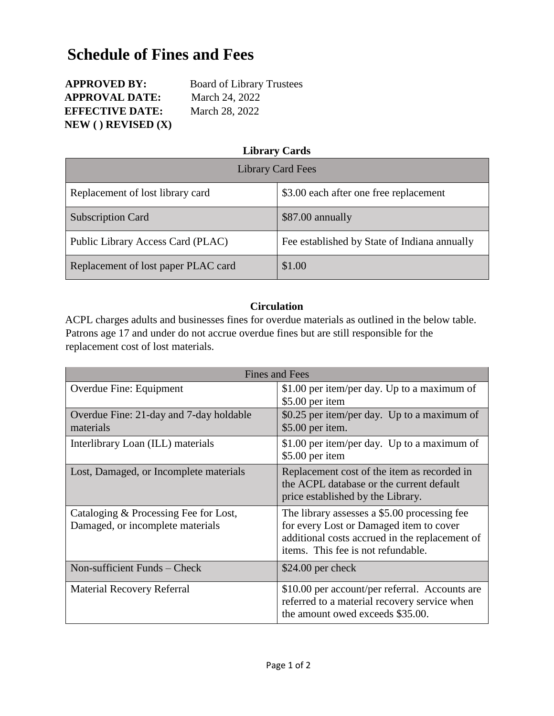## **Schedule of Fines and Fees**

Г

| <b>APPROVED BY:</b>    | <b>Board of Library Trustees</b> |
|------------------------|----------------------------------|
| <b>APPROVAL DATE:</b>  | March 24, 2022                   |
| <b>EFFECTIVE DATE:</b> | March 28, 2022                   |
| NEW() REVISED(X)       |                                  |

## **Library Cards** Library Card Fees

| Library Card Fees                   |                                              |
|-------------------------------------|----------------------------------------------|
| Replacement of lost library card    | \$3.00 each after one free replacement       |
| <b>Subscription Card</b>            | \$87.00 annually                             |
| Public Library Access Card (PLAC)   | Fee established by State of Indiana annually |
| Replacement of lost paper PLAC card | \$1.00                                       |

## **Circulation**

ACPL charges adults and businesses fines for overdue materials as outlined in the below table. Patrons age 17 and under do not accrue overdue fines but are still responsible for the replacement cost of lost materials.

| Fines and Fees                                                            |                                                                                                                                                                                 |
|---------------------------------------------------------------------------|---------------------------------------------------------------------------------------------------------------------------------------------------------------------------------|
| Overdue Fine: Equipment                                                   | \$1.00 per item/per day. Up to a maximum of<br>\$5.00 per item                                                                                                                  |
| Overdue Fine: 21-day and 7-day holdable<br>materials                      | \$0.25 per item/per day. Up to a maximum of<br>\$5.00 per item.                                                                                                                 |
| Interlibrary Loan (ILL) materials                                         | \$1.00 per item/per day. Up to a maximum of<br>\$5.00 per item                                                                                                                  |
| Lost, Damaged, or Incomplete materials                                    | Replacement cost of the item as recorded in<br>the ACPL database or the current default<br>price established by the Library.                                                    |
| Cataloging & Processing Fee for Lost,<br>Damaged, or incomplete materials | The library assesses a \$5.00 processing fee<br>for every Lost or Damaged item to cover<br>additional costs accrued in the replacement of<br>items. This fee is not refundable. |
| Non-sufficient Funds $-$ Check                                            | $$24.00$ per check                                                                                                                                                              |
| <b>Material Recovery Referral</b>                                         | \$10.00 per account/per referral. Accounts are<br>referred to a material recovery service when<br>the amount owed exceeds \$35.00.                                              |